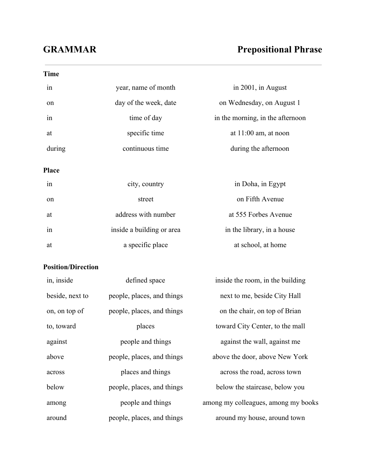## **GRAMMAR Prepositional Phrase**

| <b>Time</b>               |                            |                                  |  |
|---------------------------|----------------------------|----------------------------------|--|
| in                        | year, name of month        | in 2001, in August               |  |
| on                        | day of the week, date      | on Wednesday, on August 1        |  |
| 1n                        | time of day                | in the morning, in the afternoon |  |
| at                        | specific time              | at $11:00$ am, at noon           |  |
| during                    | continuous time            | during the afternoon             |  |
| Place                     |                            |                                  |  |
| 1n                        | city, country              | in Doha, in Egypt                |  |
| on                        | street                     | on Fifth Avenue                  |  |
| at                        | address with number        | at 555 Forbes Avenue             |  |
| in                        | inside a building or area  | in the library, in a house       |  |
| at                        | a specific place           | at school, at home               |  |
| <b>Position/Direction</b> |                            |                                  |  |
| in, inside                | defined space              | inside the room, in the building |  |
| beside, next to           | people, places, and things | next to me, beside City Hall     |  |
| on, on top of             | people, places, and things | on the chair, on top of Brian    |  |
| to, toward                | places                     | toward City Center, to the mall  |  |
| against                   | people and things          | against the wall, against me     |  |
| above                     | people, places, and things | above the door, above New York   |  |
| across                    | places and things          | across the road, across town     |  |

below people, places, and things below the staircase, below you

around people, places, and things around my house, around town

among people and things among my colleagues, among my books